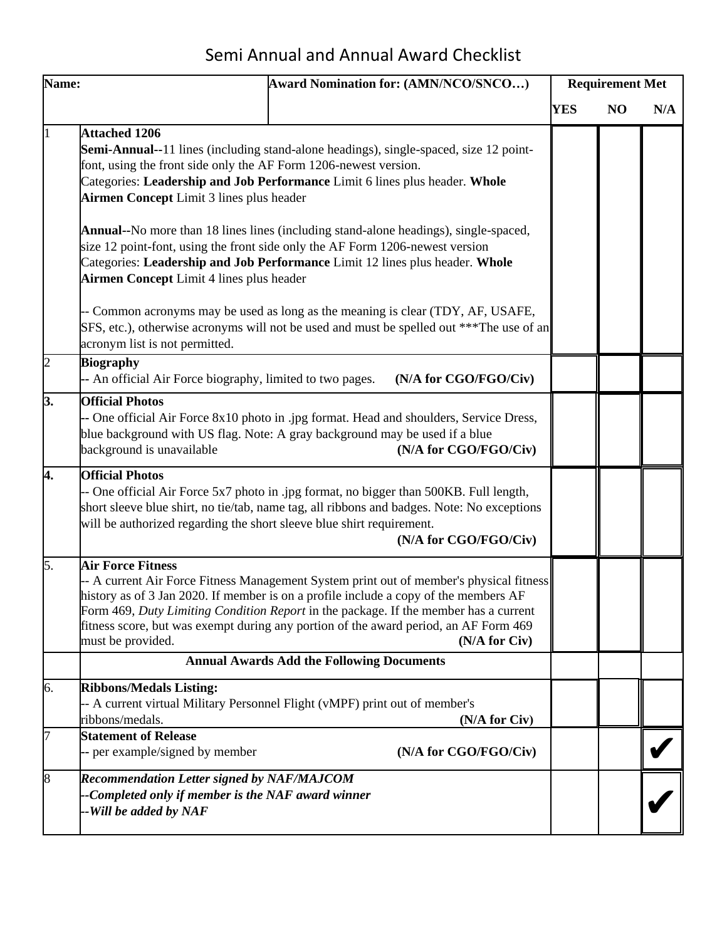## Semi Annual and Annual Award Checklist

| Name: |                                                                                                                                                                                  | Award Nomination for: (AMN/NCO/SNCO)                                                                                                                                                                                                                                                                                                                                                                                                                                                                                                                                                                                        |            | <b>Requirement Met</b> |     |  |
|-------|----------------------------------------------------------------------------------------------------------------------------------------------------------------------------------|-----------------------------------------------------------------------------------------------------------------------------------------------------------------------------------------------------------------------------------------------------------------------------------------------------------------------------------------------------------------------------------------------------------------------------------------------------------------------------------------------------------------------------------------------------------------------------------------------------------------------------|------------|------------------------|-----|--|
|       |                                                                                                                                                                                  |                                                                                                                                                                                                                                                                                                                                                                                                                                                                                                                                                                                                                             | <b>YES</b> | N <sub>O</sub>         | N/A |  |
|       | <b>Attached 1206</b><br>font, using the front side only the AF Form 1206-newest version.<br>Airmen Concept Limit 3 lines plus header<br>Airmen Concept Limit 4 lines plus header | <b>Semi-Annual--11</b> lines (including stand-alone headings), single-spaced, size 12 point-<br>Categories: Leadership and Job Performance Limit 6 lines plus header. Whole<br><b>Annual--</b> No more than 18 lines lines (including stand-alone headings), single-spaced,<br>size 12 point-font, using the front side only the AF Form 1206-newest version<br>Categories: Leadership and Job Performance Limit 12 lines plus header. Whole<br>- Common acronyms may be used as long as the meaning is clear (TDY, AF, USAFE,<br>SFS, etc.), otherwise acronyms will not be used and must be spelled out *** The use of an |            |                        |     |  |
| þ     | acronym list is not permitted.<br><b>Biography</b>                                                                                                                               |                                                                                                                                                                                                                                                                                                                                                                                                                                                                                                                                                                                                                             |            |                        |     |  |
| 3.    | -- An official Air Force biography, limited to two pages.<br><b>Official Photos</b><br>background is unavailable                                                                 | (N/A for CGO/FGO/Civ)<br>-- One official Air Force 8x10 photo in .jpg format. Head and shoulders, Service Dress,<br>blue background with US flag. Note: A gray background may be used if a blue<br>(N/A for CGO/FGO/Civ)                                                                                                                                                                                                                                                                                                                                                                                                    |            |                        |     |  |
| 4.    | <b>Official Photos</b><br>will be authorized regarding the short sleeve blue shirt requirement.                                                                                  | -- One official Air Force 5x7 photo in .jpg format, no bigger than 500KB. Full length,<br>short sleeve blue shirt, no tie/tab, name tag, all ribbons and badges. Note: No exceptions<br>(N/A for CGO/FGO/Civ)                                                                                                                                                                                                                                                                                                                                                                                                               |            |                        |     |  |
| 5.    | <b>Air Force Fitness</b><br>must be provided.                                                                                                                                    | -- A current Air Force Fitness Management System print out of member's physical fitness<br>history as of 3 Jan 2020. If member is on a profile include a copy of the members AF<br>Form 469, Duty Limiting Condition Report in the package. If the member has a current<br>fitness score, but was exempt during any portion of the award period, an AF Form 469<br>(N/A for Civ)                                                                                                                                                                                                                                            |            |                        |     |  |
|       |                                                                                                                                                                                  | <b>Annual Awards Add the Following Documents</b>                                                                                                                                                                                                                                                                                                                                                                                                                                                                                                                                                                            |            |                        |     |  |
| 6.    | <b>Ribbons/Medals Listing:</b><br>-- A current virtual Military Personnel Flight (vMPF) print out of member's<br>ribbons/medals.                                                 | (N/A for Civ)                                                                                                                                                                                                                                                                                                                                                                                                                                                                                                                                                                                                               |            |                        |     |  |
| 7     | <b>Statement of Release</b><br>-- per example/signed by member                                                                                                                   | (N/A for CGO/FGO/Civ)                                                                                                                                                                                                                                                                                                                                                                                                                                                                                                                                                                                                       |            |                        |     |  |
| 8     | Recommendation Letter signed by NAF/MAJCOM<br>-Completed only if member is the NAF award winner<br>--Will be added by NAF                                                        |                                                                                                                                                                                                                                                                                                                                                                                                                                                                                                                                                                                                                             |            |                        |     |  |